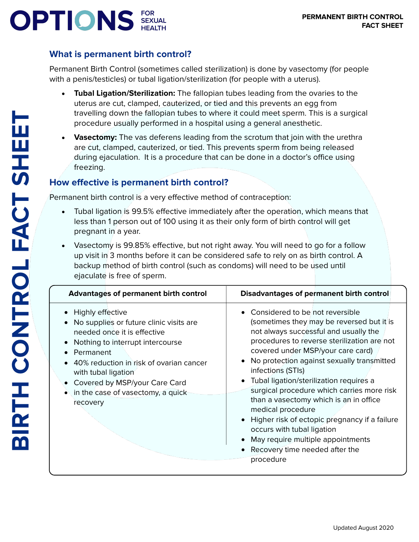# **OPTIONS** SEXUAL

## **What is permanent birth control?**

Permanent Birth Control (sometimes called sterilization) is done by vasectomy (for people with a penis/testicles) or tubal ligation/sterilization (for people with a uterus).

- **Tubal Ligation/Sterilization:** The fallopian tubes leading from the ovaries to the uterus are cut, clamped, cauterized, or tied and this prevents an egg from travelling down the fallopian tubes to where it could meet sperm. This is a surgical procedure usually performed in a hospital using a general anesthetic.
- **Vasectomy:** The vas deferens leading from the scrotum that join with the urethra are cut, clamped, cauterized, or tied. This prevents sperm from being released during ejaculation. It is a procedure that can be done in a doctor's office using freezing.

## **How effective is permanent birth control?**

Permanent birth control is a very effective method of contraception:

- Tubal ligation is 99.5% effective immediately after the operation, which means that less than 1 person out of 100 using it as their only form of birth control will get pregnant in a year.
- Vasectomy is 99.85% effective, but not right away. You will need to go for a follow up visit in 3 months before it can be considered safe to rely on as birth control. A backup method of birth control (such as condoms) will need to be used until ejaculate is free of sperm.

| <b>Advantages of permanent birth control</b>                                                                                                                                                                                                                                                    | <b>Disadvantages of permanent birth control</b>                                                                                                                                                                                                                                                                                                                                                                                                                                                                                                                                                         |
|-------------------------------------------------------------------------------------------------------------------------------------------------------------------------------------------------------------------------------------------------------------------------------------------------|---------------------------------------------------------------------------------------------------------------------------------------------------------------------------------------------------------------------------------------------------------------------------------------------------------------------------------------------------------------------------------------------------------------------------------------------------------------------------------------------------------------------------------------------------------------------------------------------------------|
| Highly effective<br>No supplies or future clinic visits are<br>needed once it is effective<br>Nothing to interrupt intercourse<br>Permanent<br>40% reduction in risk of ovarian cancer<br>with tubal ligation<br>Covered by MSP/your Care Card<br>in the case of vasectomy, a quick<br>recovery | Considered to be not reversible<br>(sometimes they may be reversed but it is<br>not always successful and usually the<br>procedures to reverse sterilization are not<br>covered under MSP/your care card)<br>No protection against sexually transmitted<br>infections (STIs)<br>Tubal ligation/sterilization requires a<br>surgical procedure which carries more risk<br>than a vasectomy which is an in office<br>medical procedure<br>Higher risk of ectopic pregnancy if a failure<br>occurs with tubal ligation<br>May require multiple appointments<br>Recovery time needed after the<br>procedure |